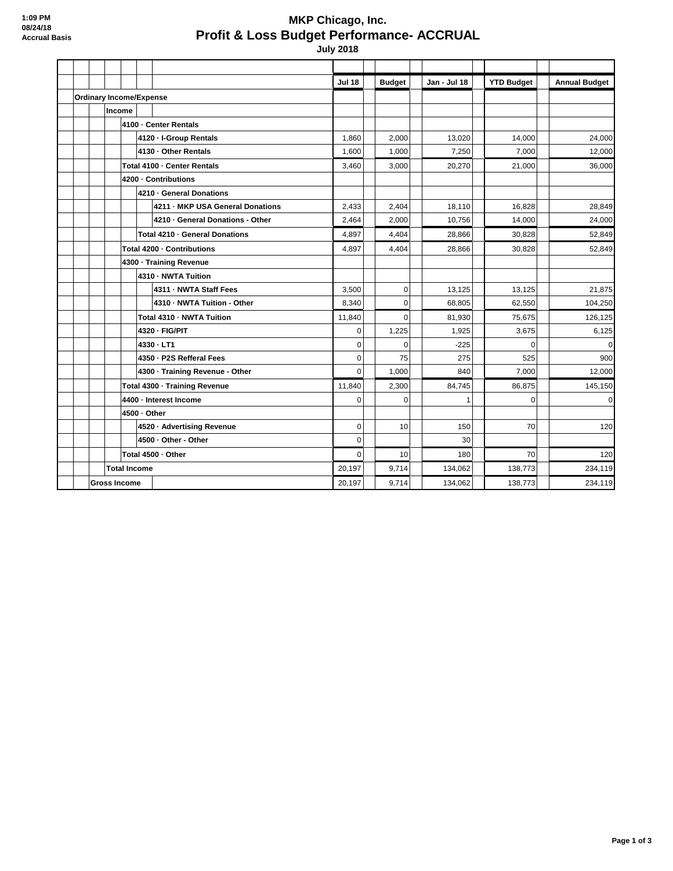## **MKP Chicago, Inc. Profit & Loss Budget Performance- ACCRUAL**

 **July 2018**

|                                |  |                     |                               |              |                                 |                                  | <b>Jul 18</b> | <b>Budget</b>  | Jan - Jul 18 | <b>YTD Budget</b> | <b>Annual Budget</b> |
|--------------------------------|--|---------------------|-------------------------------|--------------|---------------------------------|----------------------------------|---------------|----------------|--------------|-------------------|----------------------|
| <b>Ordinary Income/Expense</b> |  |                     |                               |              |                                 |                                  |               |                |              |                   |                      |
|                                |  |                     | Income                        |              |                                 |                                  |               |                |              |                   |                      |
|                                |  |                     |                               |              |                                 | 4100 - Center Rentals            |               |                |              |                   |                      |
|                                |  |                     |                               |              |                                 | 4120 - I-Group Rentals           | 1,860         | 2,000          | 13,020       | 14,000            | 24,000               |
|                                |  |                     |                               |              | 4130 - Other Rentals            |                                  | 1,600         | 1,000          | 7,250        | 7,000             | 12,000               |
|                                |  |                     |                               |              |                                 | Total 4100 - Center Rentals      | 3,460         | 3,000          | 20,270       | 21.000            | 36,000               |
|                                |  |                     |                               |              |                                 | 4200 - Contributions             |               |                |              |                   |                      |
|                                |  |                     |                               |              |                                 | 4210 - General Donations         |               |                |              |                   |                      |
|                                |  |                     |                               |              |                                 | 4211 - MKP USA General Donations | 2,433         | 2,404          | 18,110       | 16,828            | 28,849               |
|                                |  |                     |                               |              |                                 | 4210 - General Donations - Other | 2,464         | 2,000          | 10,756       | 14,000            | 24,000               |
|                                |  |                     |                               |              |                                 | Total 4210 · General Donations   | 4,897         | 4,404          | 28,866       | 30.828            | 52,849               |
|                                |  |                     | Total 4200 - Contributions    |              |                                 |                                  | 4,897         | 4,404          | 28.866       | 30.828            | 52.849               |
|                                |  |                     | 4300 · Training Revenue       |              |                                 |                                  |               |                |              |                   |                      |
|                                |  |                     |                               |              | 4310 - NWTA Tuition             |                                  |               |                |              |                   |                      |
|                                |  |                     |                               |              |                                 | 4311 - NWTA Staff Fees           | 3,500         | $\mathbf 0$    | 13,125       | 13,125            | 21,875               |
|                                |  |                     |                               |              |                                 | 4310 - NWTA Tuition - Other      | 8,340         | $\overline{0}$ | 68,805       | 62,550            | 104,250              |
|                                |  |                     |                               |              | Total 4310 - NWTA Tuition       |                                  | 11,840        | $\overline{0}$ | 81,930       | 75,675            | 126,125              |
|                                |  |                     |                               |              | 4320 - FIG/PIT                  |                                  | 0             | 1,225          | 1,925        | 3,675             | 6,125                |
|                                |  |                     |                               |              | 4330 LT1                        |                                  | 0             | $\mathbf 0$    | $-225$       | $\mathbf 0$       | $\overline{0}$       |
|                                |  |                     |                               |              |                                 | 4350 - P2S Refferal Fees         | $\Omega$      | 75             | 275          | 525               | 900                  |
|                                |  |                     |                               |              | 4300 - Training Revenue - Other | 0                                | 1,000         | 840            | 7,000        | 12,000            |                      |
|                                |  |                     | Total 4300 - Training Revenue |              |                                 |                                  | 11,840        | 2,300          | 84,745       | 86,875            | 145,150              |
|                                |  |                     |                               |              | 4400 - Interest Income          | 0                                | $\mathbf 0$   | 1              | $\mathbf 0$  | $\overline{O}$    |                      |
|                                |  |                     |                               | 4500 - Other |                                 |                                  |               |                |              |                   |                      |
|                                |  |                     |                               |              |                                 | 4520 · Advertising Revenue       | $\mathbf 0$   | 10             | 150          | 70                | 120                  |
|                                |  |                     |                               |              | 4500 - Other - Other            |                                  | $\mathbf 0$   |                | 30           |                   |                      |
|                                |  |                     | Total 4500 - Other            |              |                                 |                                  | 0             | 10             | 180          | 70                | 120                  |
|                                |  |                     | <b>Total Income</b>           |              |                                 |                                  |               | 9,714          | 134,062      | 138.773           | 234,119              |
|                                |  | <b>Gross Income</b> |                               |              |                                 |                                  | 20,197        | 9,714          | 134,062      | 138,773           | 234,119              |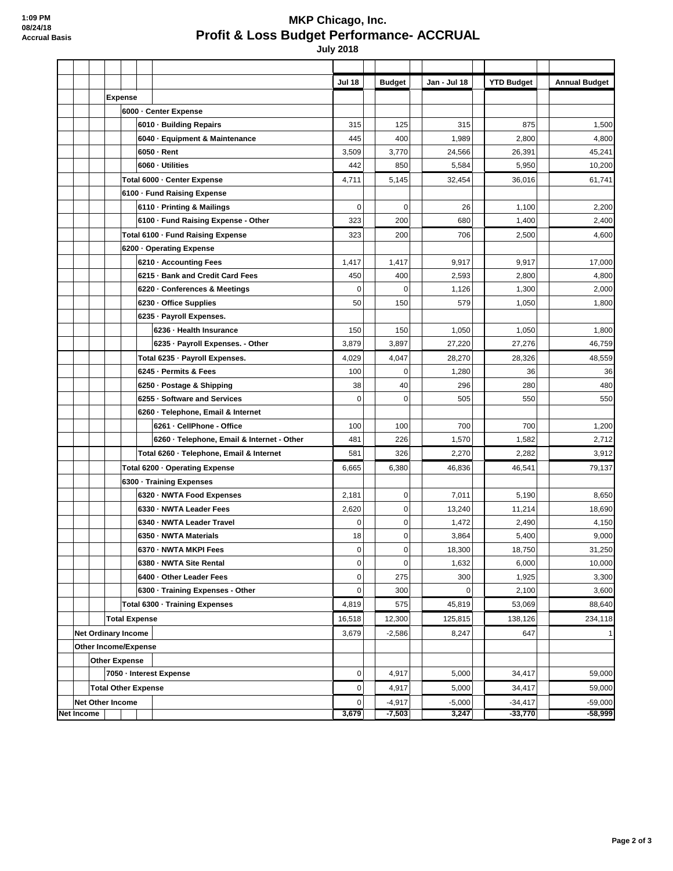## **MKP Chicago, Inc. Profit & Loss Budget Performance- ACCRUAL**

 **July 2018**

|                   |                            |                            |                         |                                   |                                          |                                            | <b>Jul 18</b>    |          | <b>Budget</b> | Jan - Jul 18 | <b>YTD Budget</b> | <b>Annual Budget</b> |
|-------------------|----------------------------|----------------------------|-------------------------|-----------------------------------|------------------------------------------|--------------------------------------------|------------------|----------|---------------|--------------|-------------------|----------------------|
|                   |                            |                            | <b>Expense</b>          |                                   |                                          |                                            |                  |          |               |              |                   |                      |
|                   |                            |                            |                         |                                   | 6000 - Center Expense                    |                                            |                  |          |               |              |                   |                      |
|                   |                            |                            |                         |                                   |                                          | 6010 · Building Repairs                    | 315              |          | 125           | 315          | 875               | 1,500                |
|                   |                            |                            |                         |                                   | 6040 - Equipment & Maintenance           |                                            |                  | 445      | 400           | 1,989        | 2,800             | 4,800                |
|                   |                            |                            |                         |                                   | 6050 - Rent                              |                                            |                  |          | 3,770         | 24,566       | 26,391            | 45,241               |
|                   |                            |                            |                         |                                   | 6060 - Utilities                         |                                            |                  |          | 850           | 5,584        | 5,950             | 10,200               |
|                   |                            |                            |                         |                                   | Total 6000 - Center Expense              |                                            |                  |          | 5,145         | 32,454       | 36,016            | 61,741               |
|                   |                            |                            |                         |                                   | 6100 - Fund Raising Expense              |                                            |                  |          |               |              |                   |                      |
|                   |                            |                            |                         |                                   | 6110 - Printing & Mailings               |                                            | 0                |          | $\mathbf 0$   | 26           | 1,100             | 2,200                |
|                   |                            |                            |                         |                                   | 6100 - Fund Raising Expense - Other      |                                            | 323              |          | 200           | 680          | 1,400             | 2,400                |
|                   |                            |                            |                         | Total 6100 - Fund Raising Expense |                                          |                                            | 323              |          | 200           | 706          | 2,500             | 4,600                |
|                   |                            |                            |                         | 6200 - Operating Expense          |                                          |                                            |                  |          |               |              |                   |                      |
|                   |                            |                            |                         |                                   | 6210 · Accounting Fees                   |                                            | 1,417            |          | 1,417         | 9,917        | 9,917             | 17,000               |
|                   |                            |                            |                         |                                   |                                          | 6215 · Bank and Credit Card Fees           | 450              |          | 400           | 2,593        | 2,800             | 4,800                |
|                   |                            |                            |                         |                                   |                                          | 6220 Conferences & Meetings                | 0                |          | $\mathbf 0$   | 1,126        | 1,300             | 2,000                |
|                   |                            |                            |                         |                                   |                                          | 6230 · Office Supplies                     | 50               |          | 150           | 579          | 1,050             | 1,800                |
|                   |                            |                            |                         |                                   |                                          | 6235 - Payroll Expenses.                   |                  |          |               |              |                   |                      |
|                   |                            |                            |                         |                                   |                                          | 6236 - Health Insurance                    | 150              |          | 150           | 1,050        | 1,050             | 1,800                |
|                   |                            |                            |                         |                                   |                                          | 6235 - Payroll Expenses. - Other           | 3,879            |          | 3,897         | 27,220       | 27,276            | 46,759               |
|                   |                            |                            |                         |                                   |                                          | Total 6235 - Payroll Expenses.             | 4,029            |          | 4,047         | 28,270       | 28.326            | 48,559               |
|                   |                            |                            |                         |                                   |                                          | 6245 - Permits & Fees                      | 100              |          | $\Omega$      | 1,280        | 36                | 36                   |
|                   |                            |                            |                         |                                   |                                          | 6250 · Postage & Shipping                  | 38               |          | 40            | 296          | 280               | 480                  |
|                   |                            |                            |                         |                                   |                                          | 6255 - Software and Services               | $\mathbf 0$      |          | $\mathbf 0$   | 505          | 550               | 550                  |
|                   |                            |                            |                         |                                   |                                          | 6260 · Telephone, Email & Internet         |                  |          |               |              |                   |                      |
|                   |                            |                            |                         |                                   |                                          | 6261 - CellPhone - Office                  | 100              |          | 100           | 700          | 700               | 1,200                |
|                   |                            |                            |                         |                                   |                                          | 6260 - Telephone, Email & Internet - Other | 481              |          | 226           | 1,570        | 1,582             | 2,712                |
|                   |                            |                            |                         |                                   | Total 6260 - Telephone, Email & Internet |                                            | 581              |          | 326           | 2,270        | 2,282             | 3,912                |
|                   |                            |                            |                         | Total 6200 - Operating Expense    |                                          |                                            | 6,665            |          | 6,380         | 46,836       | 46,541            | 79,137               |
|                   |                            |                            |                         | 6300 · Training Expenses          |                                          |                                            |                  |          |               |              |                   |                      |
|                   |                            |                            |                         |                                   |                                          | 6320 · NWTA Food Expenses                  | 2,181            |          | $\mathbf 0$   | 7,011        | 5,190             | 8,650                |
|                   |                            |                            |                         |                                   |                                          | 6330 - NWTA Leader Fees                    | 2,620            |          | $\mathbf 0$   | 13,240       | 11,214            | 18,690               |
|                   |                            |                            |                         |                                   |                                          | 6340 - NWTA Leader Travel                  | $\mathbf 0$      |          | $\mathbf 0$   | 1,472        | 2,490             | 4,150                |
|                   |                            |                            |                         |                                   |                                          | 6350 - NWTA Materials                      | 18               |          | $\mathbf 0$   | 3,864        | 5,400             | 9,000                |
|                   |                            |                            |                         |                                   |                                          | 6370 - NWTA MKPI Fees                      | $\mathbf 0$      |          | $\mathbf 0$   | 18,300       | 18,750            | 31,250               |
|                   |                            |                            |                         |                                   |                                          | 6380 - NWTA Site Rental                    | $\pmb{0}$        |          | $\mathbf 0$   | 1,632        | 6,000             | 10,000               |
|                   |                            |                            |                         |                                   |                                          | 6400 - Other Leader Fees                   | 0                |          | 275           | 300          | 1,925             | 3,300                |
|                   |                            |                            |                         |                                   |                                          | 6300 - Training Expenses - Other           | 0                |          | 300           | 0            | 2,100             | 3,600                |
|                   |                            |                            |                         | Total 6300 - Training Expenses    |                                          | 4,819                                      |                  | 575      | 45,819        | 53,069       | 88,640            |                      |
|                   |                            |                            | <b>Total Expense</b>    |                                   |                                          | 16,518                                     |                  | 12,300   | 125,815       | 138,126      | 234,118           |                      |
|                   |                            | <b>Net Ordinary Income</b> |                         |                                   |                                          | 3,679                                      |                  | $-2,586$ | 8,247         | 647          | 1                 |                      |
|                   | Other Income/Expense       |                            |                         |                                   |                                          |                                            |                  |          |               |              |                   |                      |
|                   | <b>Other Expense</b>       |                            |                         |                                   |                                          |                                            |                  |          |               |              |                   |                      |
|                   |                            |                            | 7050 - Interest Expense |                                   |                                          |                                            | $\boldsymbol{0}$ |          | 4,917         | 5,000        | 34,417            | 59,000               |
|                   | <b>Total Other Expense</b> |                            |                         |                                   |                                          | $\mathbf 0$                                |                  | 4,917    | 5,000         | 34,417       | 59,000            |                      |
|                   |                            |                            |                         | <b>Net Other Income</b>           |                                          |                                            | $\boldsymbol{0}$ |          | $-4,917$      | $-5,000$     | $-34,417$         | $-59,000$            |
| <b>Net Income</b> |                            |                            |                         |                                   |                                          |                                            | 3,679            |          | $-7,503$      | 3,247        | $-33,770$         | $-58,999$            |